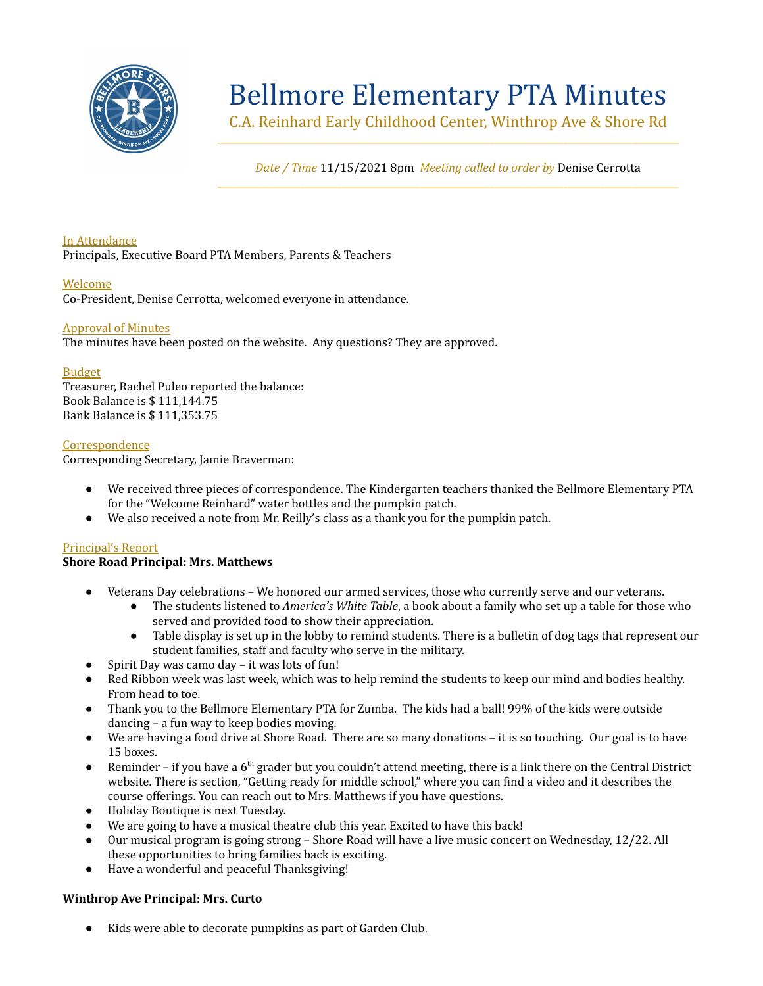

# Bellmore Elementary PTA Minutes

C.A. Reinhard Early Childhood Center, Winthrop Ave & Shore Rd \_\_\_\_\_\_\_\_\_\_\_\_\_\_\_\_\_\_\_\_\_\_\_\_\_\_\_\_\_\_\_\_\_\_\_\_\_\_\_\_\_\_\_\_\_\_\_\_\_\_\_\_\_\_\_\_\_\_\_\_\_\_\_\_\_\_\_\_\_\_\_\_\_\_\_\_\_\_\_\_\_\_\_\_\_\_\_\_\_\_\_\_\_\_\_\_\_\_\_\_

*Date / Time* 11/15/2021 8pm *Meeting called to order by* Denise Cerrotta \_\_\_\_\_\_\_\_\_\_\_\_\_\_\_\_\_\_\_\_\_\_\_\_\_\_\_\_\_\_\_\_\_\_\_\_\_\_\_\_\_\_\_\_\_\_\_\_\_\_\_\_\_\_\_\_\_\_\_\_\_\_\_\_\_\_\_\_\_\_\_\_\_\_\_\_\_\_\_\_\_\_\_\_\_\_\_\_\_\_\_\_\_\_\_\_\_\_\_\_

# In Attendance

Principals, Executive Board PTA Members, Parents & Teachers

# Welcome

Co-President, Denise Cerrotta, welcomed everyone in attendance.

# Approval of Minutes

The minutes have been posted on the website. Any questions? They are approved.

# Budget

Treasurer, Rachel Puleo reported the balance: Book Balance is \$ 111,144.75 Bank Balance is \$ 111,353.75

# **Correspondence**

Corresponding Secretary, Jamie Braverman:

- We received three pieces of correspondence. The Kindergarten teachers thanked the Bellmore Elementary PTA for the "Welcome Reinhard" water bottles and the pumpkin patch.
- We also received a note from Mr. Reilly's class as a thank you for the pumpkin patch.

# Principal's Report

# **Shore Road Principal: Mrs. Matthews**

- Veterans Day celebrations We honored our armed services, those who currently serve and our veterans.
	- The students listened to *America's White Table*, a book about a family who set up a table for those who served and provided food to show their appreciation.
	- Table display is set up in the lobby to remind students. There is a bulletin of dog tags that represent our student families, staff and faculty who serve in the military.
- Spirit Day was camo day it was lots of fun!
- Red Ribbon week was last week, which was to help remind the students to keep our mind and bodies healthy. From head to toe.
- Thank you to the Bellmore Elementary PTA for Zumba. The kids had a ball! 99% of the kids were outside dancing – a fun way to keep bodies moving.
- We are having a food drive at Shore Road. There are so many donations it is so touching. Our goal is to have 15 boxes.
- **•** Reminder if you have a  $6<sup>th</sup>$  grader but you couldn't attend meeting, there is a link there on the Central District website. There is section, "Getting ready for middle school," where you can find a video and it describes the course offerings. You can reach out to Mrs. Matthews if you have questions.
- Holiday Boutique is next Tuesday.
- We are going to have a musical theatre club this year. Excited to have this back!
- Our musical program is going strong Shore Road will have a live music concert on Wednesday, 12/22. All these opportunities to bring families back is exciting.
- Have a wonderful and peaceful Thanksgiving!

#### **Winthrop Ave Principal: Mrs. Curto**

● Kids were able to decorate pumpkins as part of Garden Club.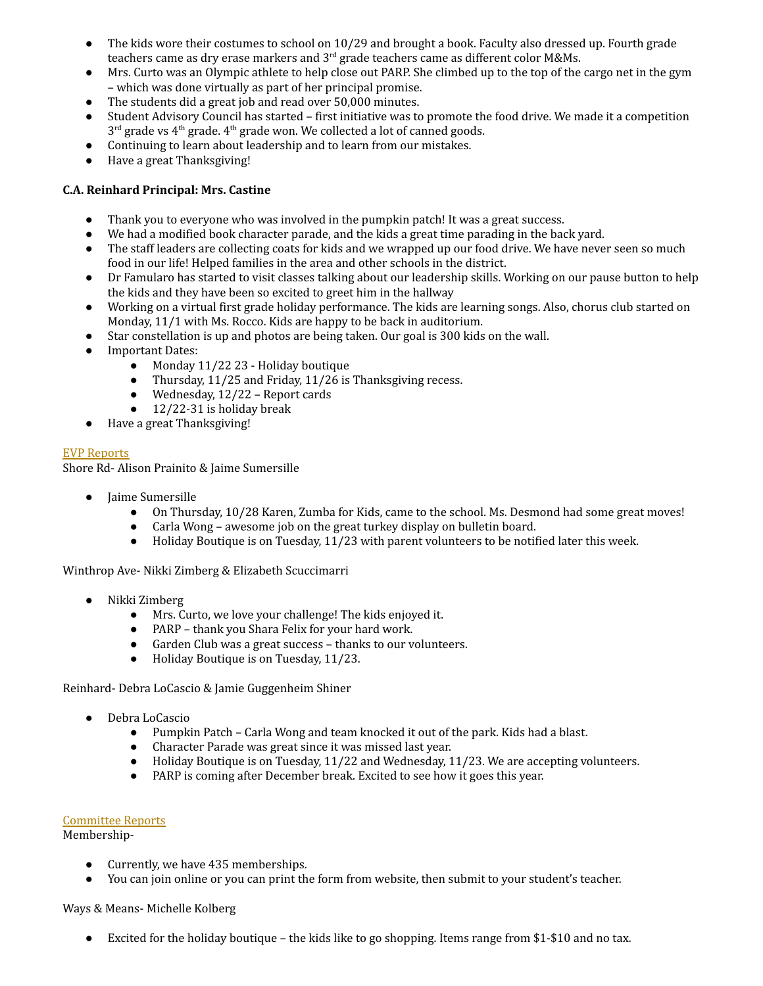- The kids wore their costumes to school on 10/29 and brought a book. Faculty also dressed up. Fourth grade teachers came as dry erase markers and 3<sup>rd</sup> grade teachers came as different color M&Ms.
- Mrs. Curto was an Olympic athlete to help close out PARP. She climbed up to the top of the cargo net in the gym – which was done virtually as part of her principal promise.
- The students did a great job and read over 50,000 minutes.
- Student Advisory Council has started first initiative was to promote the food drive. We made it a competition  $3<sup>rd</sup>$  grade vs  $4<sup>th</sup>$  grade.  $4<sup>th</sup>$  grade won. We collected a lot of canned goods.
- Continuing to learn about leadership and to learn from our mistakes.
- Have a great Thanksgiving!

# **C.A. Reinhard Principal: Mrs. Castine**

- Thank you to everyone who was involved in the pumpkin patch! It was a great success.
- We had a modified book character parade, and the kids a great time parading in the back yard.
- The staff leaders are collecting coats for kids and we wrapped up our food drive. We have never seen so much food in our life! Helped families in the area and other schools in the district.
- Dr Famularo has started to visit classes talking about our leadership skills. Working on our pause button to help the kids and they have been so excited to greet him in the hallway
- Working on a virtual first grade holiday performance. The kids are learning songs. Also, chorus club started on Monday, 11/1 with Ms. Rocco. Kids are happy to be back in auditorium.
- Star constellation is up and photos are being taken. Our goal is 300 kids on the wall.
- **Important Dates:** 
	- Monday 11/22 23 Holiday boutique
	- Thursday, 11/25 and Friday, 11/26 is Thanksgiving recess.
	- $\bullet$  Wednesday, 12/22 Report cards
	- $\bullet$  12/22-31 is holiday break
- Have a great Thanksgiving!

# EVP Reports

Shore Rd- Alison Prainito & Jaime Sumersille

- Jaime Sumersille
	- On Thursday, 10/28 Karen, Zumba for Kids, came to the school. Ms. Desmond had some great moves!
	- Carla Wong awesome job on the great turkey display on bulletin board.
	- Holiday Boutique is on Tuesday, 11/23 with parent volunteers to be notified later this week.

Winthrop Ave- Nikki Zimberg & Elizabeth Scuccimarri

- Nikki Zimberg
	- Mrs. Curto, we love your challenge! The kids enjoyed it.
	- PARP thank you Shara Felix for your hard work.
	- Garden Club was a great success thanks to our volunteers.
	- Holiday Boutique is on Tuesday, 11/23.

Reinhard- Debra LoCascio & Jamie Guggenheim Shiner

- Debra LoCascio
	- Pumpkin Patch Carla Wong and team knocked it out of the park. Kids had a blast.
	- Character Parade was great since it was missed last year.
	- Holiday Boutique is on Tuesday, 11/22 and Wednesday, 11/23. We are accepting volunteers.
	- PARP is coming after December break. Excited to see how it goes this year.

#### Committee Reports

Membership-

- Currently, we have 435 memberships.
- You can join online or you can print the form from website, then submit to your student's teacher.

Ways & Means- Michelle Kolberg

● Excited for the holiday boutique – the kids like to go shopping. Items range from \$1-\$10 and no tax.